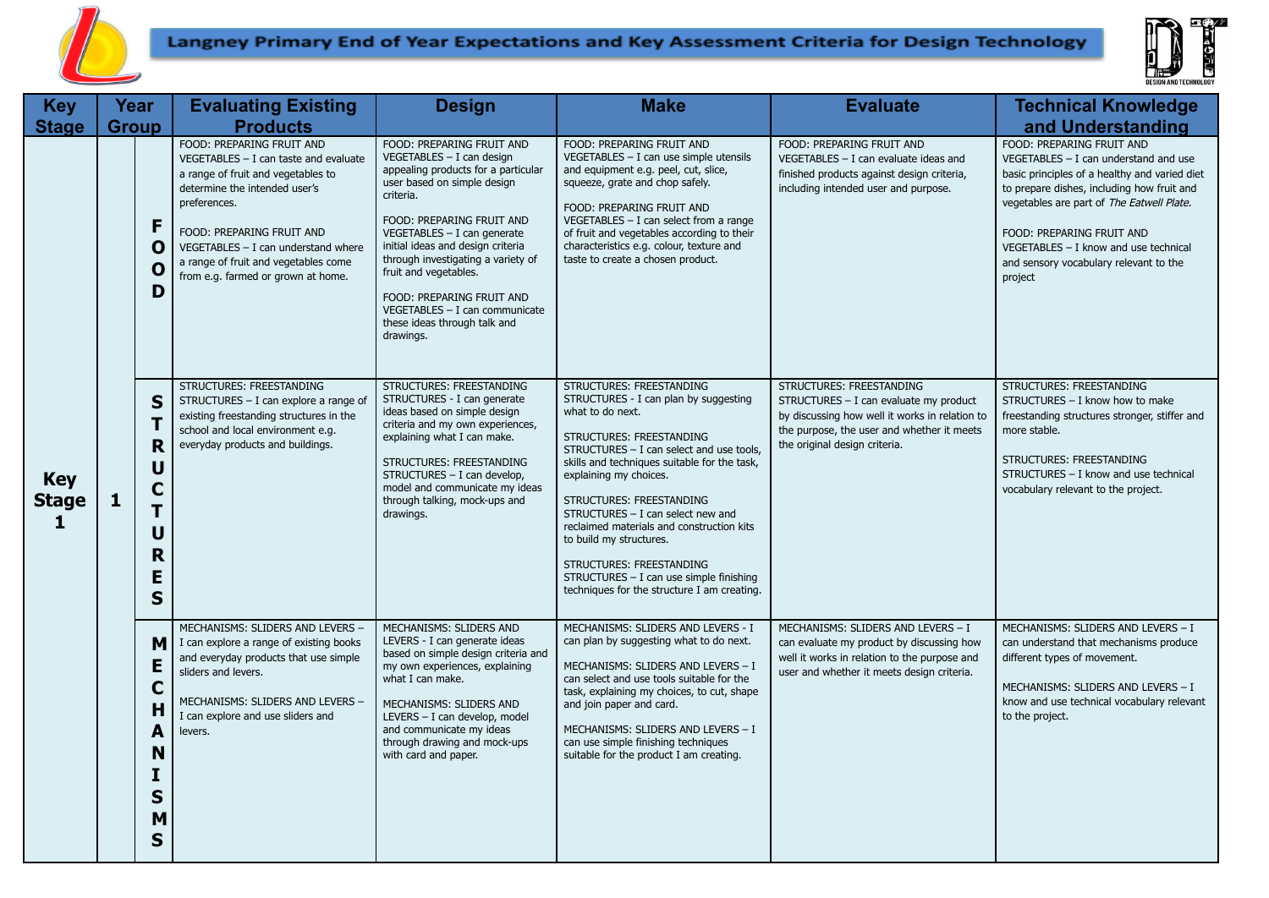

## Langney Primary End of Year Expectations and Key Assessment Criteria for Design Technology



| <b>Key</b>                      | Year         |                                                          | <b>Evaluating Existing</b>                                                                                                                                                                                                                                                                                      | <b>Design</b>                                                                                                                                                                                                                                                                                                                                                                                                           | <b>Make</b>                                                                                                                                                                                                                                                                                                                                                                                                                                                                                                     | <b>Evaluate</b>                                                                                                                                                                                     | <b>Technical Knowledge</b>                                                                                                                                                                                                                                                                                                                  |
|---------------------------------|--------------|----------------------------------------------------------|-----------------------------------------------------------------------------------------------------------------------------------------------------------------------------------------------------------------------------------------------------------------------------------------------------------------|-------------------------------------------------------------------------------------------------------------------------------------------------------------------------------------------------------------------------------------------------------------------------------------------------------------------------------------------------------------------------------------------------------------------------|-----------------------------------------------------------------------------------------------------------------------------------------------------------------------------------------------------------------------------------------------------------------------------------------------------------------------------------------------------------------------------------------------------------------------------------------------------------------------------------------------------------------|-----------------------------------------------------------------------------------------------------------------------------------------------------------------------------------------------------|---------------------------------------------------------------------------------------------------------------------------------------------------------------------------------------------------------------------------------------------------------------------------------------------------------------------------------------------|
| <b>Stage</b>                    | <b>Group</b> |                                                          | <b>Products</b>                                                                                                                                                                                                                                                                                                 |                                                                                                                                                                                                                                                                                                                                                                                                                         |                                                                                                                                                                                                                                                                                                                                                                                                                                                                                                                 |                                                                                                                                                                                                     | and Understanding                                                                                                                                                                                                                                                                                                                           |
| <b>Key</b><br><b>Stage</b><br>1 |              | F<br>O<br>0<br>D                                         | FOOD: PREPARING FRUIT AND<br>$VEGETABLES - I can taste and evaluate$<br>a range of fruit and vegetables to<br>determine the intended user's<br>preferences.<br>FOOD: PREPARING FRUIT AND<br>$VEGETABLES - I can understand where$<br>a range of fruit and vegetables come<br>from e.g. farmed or grown at home. | FOOD: PREPARING FRUIT AND<br>$VEGETABLES - I can design$<br>appealing products for a particular<br>user based on simple design<br>criteria.<br>FOOD: PREPARING FRUIT AND<br>VEGETABLES - I can generate<br>initial ideas and design criteria<br>through investigating a variety of<br>fruit and vegetables.<br>FOOD: PREPARING FRUIT AND<br>VEGETABLES - I can communicate<br>these ideas through talk and<br>drawings. | FOOD: PREPARING FRUIT AND<br>VEGETABLES - I can use simple utensils<br>and equipment e.g. peel, cut, slice,<br>squeeze, grate and chop safely.<br>FOOD: PREPARING FRUIT AND<br>VEGETABLES $-$ I can select from a range<br>of fruit and vegetables according to their<br>characteristics e.g. colour, texture and<br>taste to create a chosen product.                                                                                                                                                          | FOOD: PREPARING FRUIT AND<br>$VEGETABLES - I can evaluate ideas and$<br>finished products against design criteria,<br>including intended user and purpose.                                          | FOOD: PREPARING FRUIT AND<br>$VEGETABLES - I can understand and use$<br>basic principles of a healthy and varied diet<br>to prepare dishes, including how fruit and<br>vegetables are part of The Eatwell Plate.<br>FOOD: PREPARING FRUIT AND<br>VEGETABLES - I know and use technical<br>and sensory vocabulary relevant to the<br>project |
|                                 | 1            | S<br>Τ<br>R<br>U<br>$\mathbf C$<br>T<br>U<br>R<br>E<br>S | STRUCTURES: FREESTANDING<br>STRUCTURES - I can explore a range of<br>existing freestanding structures in the<br>school and local environment e.g.<br>everyday products and buildings.                                                                                                                           | STRUCTURES: FREESTANDING<br>STRUCTURES - I can generate<br>ideas based on simple design<br>criteria and my own experiences,<br>explaining what I can make.<br>STRUCTURES: FREESTANDING<br>STRUCTURES - I can develop.<br>model and communicate my ideas<br>through talking, mock-ups and<br>drawings.                                                                                                                   | STRUCTURES: FREESTANDING<br>STRUCTURES - I can plan by suggesting<br>what to do next.<br>STRUCTURES: FREESTANDING<br>STRUCTURES - I can select and use tools,<br>skills and techniques suitable for the task,<br>explaining my choices.<br><b>STRUCTURES: FREESTANDING</b><br>STRUCTURES - I can select new and<br>reclaimed materials and construction kits<br>to build my structures.<br>STRUCTURES: FREESTANDING<br>$STRUCTURES - I can use simple finishing$<br>techniques for the structure I am creating. | STRUCTURES: FREESTANDING<br>STRUCTURES - I can evaluate my product<br>by discussing how well it works in relation to<br>the purpose, the user and whether it meets<br>the original design criteria. | STRUCTURES: FREESTANDING<br>STRUCTURES - I know how to make<br>freestanding structures stronger, stiffer and<br>more stable.<br>STRUCTURES: FREESTANDING<br>STRUCTURES - I know and use technical<br>vocabulary relevant to the project.                                                                                                    |
|                                 |              | м<br>Е<br>C<br>H<br>A<br>N<br>I<br>S<br>М<br>S           | MECHANISMS: SLIDERS AND LEVERS -<br>I can explore a range of existing books<br>and everyday products that use simple<br>sliders and levers.<br>MECHANISMS: SLIDERS AND LEVERS -<br>I can explore and use sliders and<br>levers.                                                                                 | MECHANISMS: SLIDERS AND<br>LEVERS - I can generate ideas<br>based on simple design criteria and<br>my own experiences, explaining<br>what I can make.<br>MECHANISMS: SLIDERS AND<br>LEVERS - I can develop, model<br>and communicate my ideas<br>through drawing and mock-ups<br>with card and paper.                                                                                                                   | MECHANISMS: SLIDERS AND LEVERS - I<br>can plan by suggesting what to do next.<br>MECHANISMS: SLIDERS AND LEVERS - I<br>can select and use tools suitable for the<br>task, explaining my choices, to cut, shape<br>and join paper and card.<br>MECHANISMS: SLIDERS AND LEVERS - I<br>can use simple finishing techniques<br>suitable for the product I am creating.                                                                                                                                              | MECHANISMS: SLIDERS AND LEVERS - I<br>can evaluate my product by discussing how<br>well it works in relation to the purpose and<br>user and whether it meets design criteria.                       | MECHANISMS: SLIDERS AND LEVERS - I<br>can understand that mechanisms produce<br>different types of movement.<br>MECHANISMS: SLIDERS AND LEVERS - I<br>know and use technical vocabulary relevant<br>to the project.                                                                                                                         |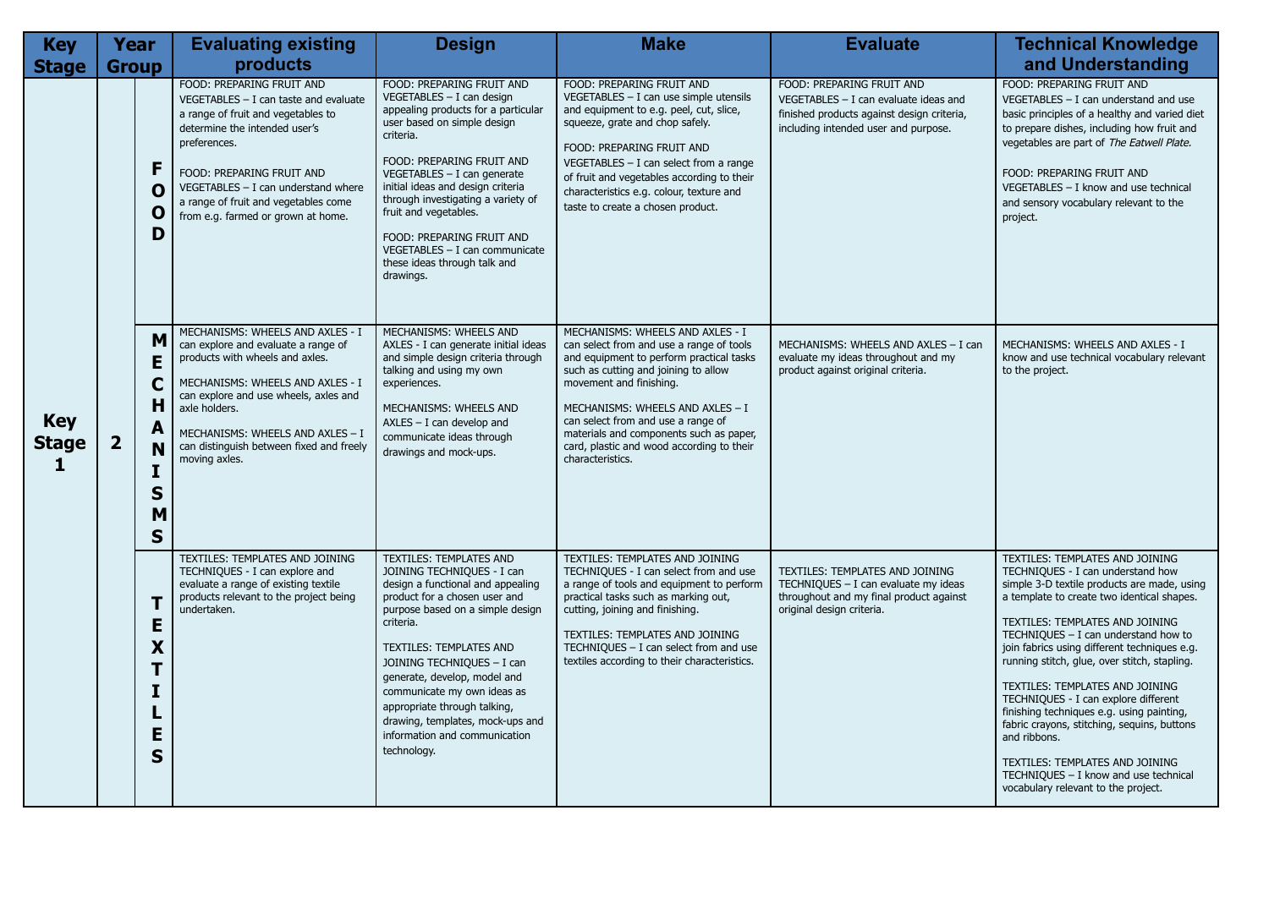| <b>Key</b>                                 | <b>Year</b>             |                                                               | <b>Evaluating existing</b>                                                                                                                                                                                                                                                                                      | <b>Design</b>                                                                                                                                                                                                                                                                                                                                                                                                                   | <b>Make</b>                                                                                                                                                                                                                                                                                                                                                                       | <b>Evaluate</b>                                                                                                                                            | <b>Technical Knowledge</b>                                                                                                                                                                                                                                                                                                                                                                                                                                                                                                                                                                                                                                      |
|--------------------------------------------|-------------------------|---------------------------------------------------------------|-----------------------------------------------------------------------------------------------------------------------------------------------------------------------------------------------------------------------------------------------------------------------------------------------------------------|---------------------------------------------------------------------------------------------------------------------------------------------------------------------------------------------------------------------------------------------------------------------------------------------------------------------------------------------------------------------------------------------------------------------------------|-----------------------------------------------------------------------------------------------------------------------------------------------------------------------------------------------------------------------------------------------------------------------------------------------------------------------------------------------------------------------------------|------------------------------------------------------------------------------------------------------------------------------------------------------------|-----------------------------------------------------------------------------------------------------------------------------------------------------------------------------------------------------------------------------------------------------------------------------------------------------------------------------------------------------------------------------------------------------------------------------------------------------------------------------------------------------------------------------------------------------------------------------------------------------------------------------------------------------------------|
| <b>Stage</b>                               | <b>Group</b>            |                                                               | products                                                                                                                                                                                                                                                                                                        |                                                                                                                                                                                                                                                                                                                                                                                                                                 |                                                                                                                                                                                                                                                                                                                                                                                   |                                                                                                                                                            | and Understanding                                                                                                                                                                                                                                                                                                                                                                                                                                                                                                                                                                                                                                               |
|                                            |                         | F<br>O<br>O<br>D                                              | FOOD: PREPARING FRUIT AND<br>$VEGETABLES - I can taste and evaluate$<br>a range of fruit and vegetables to<br>determine the intended user's<br>preferences.<br>FOOD: PREPARING FRUIT AND<br>$VEGETABLES - I can understand where$<br>a range of fruit and vegetables come<br>from e.g. farmed or grown at home. | FOOD: PREPARING FRUIT AND<br>VEGETABLES - I can design<br>appealing products for a particular<br>user based on simple design<br>criteria.<br>FOOD: PREPARING FRUIT AND<br>VEGETABLES - I can generate<br>initial ideas and design criteria<br>through investigating a variety of<br>fruit and vegetables.<br>FOOD: PREPARING FRUIT AND<br>VEGETABLES - I can communicate<br>these ideas through talk and<br>drawings.           | FOOD: PREPARING FRUIT AND<br>VEGETABLES - I can use simple utensils<br>and equipment to e.g. peel, cut, slice,<br>squeeze, grate and chop safely.<br>FOOD: PREPARING FRUIT AND<br>VEGETABLES $-$ I can select from a range<br>of fruit and vegetables according to their<br>characteristics e.g. colour, texture and<br>taste to create a chosen product.                         | FOOD: PREPARING FRUIT AND<br>$VEGETABLES - I can evaluate ideas and$<br>finished products against design criteria,<br>including intended user and purpose. | FOOD: PREPARING FRUIT AND<br>$VEGETABLES - I can understand and use$<br>basic principles of a healthy and varied diet<br>to prepare dishes, including how fruit and<br>vegetables are part of The Eatwell Plate.<br>FOOD: PREPARING FRUIT AND<br>VEGETABLES - I know and use technical<br>and sensory vocabulary relevant to the<br>project.                                                                                                                                                                                                                                                                                                                    |
| <b>Key</b><br><b>Stage</b><br>$\mathbf{1}$ | $\overline{\mathbf{2}}$ | M<br>E<br>$\mathbf C$<br>н<br>A<br>N<br>S<br>M<br>$\mathbf S$ | MECHANISMS: WHEELS AND AXLES - I<br>can explore and evaluate a range of<br>products with wheels and axles.<br>MECHANISMS: WHEELS AND AXLES - I<br>can explore and use wheels, axles and<br>axle holders.<br>MECHANISMS: WHEELS AND AXLES - I<br>can distinguish between fixed and freely<br>moving axles.       | <b>MECHANISMS: WHEELS AND</b><br>AXLES - I can generate initial ideas<br>and simple design criteria through<br>talking and using my own<br>experiences.<br>MECHANISMS: WHEELS AND<br>$AXLES - I$ can develop and<br>communicate ideas through<br>drawings and mock-ups.                                                                                                                                                         | MECHANISMS: WHEELS AND AXLES - I<br>can select from and use a range of tools<br>and equipment to perform practical tasks<br>such as cutting and joining to allow<br>movement and finishing.<br>MECHANISMS: WHEELS AND AXLES - I<br>can select from and use a range of<br>materials and components such as paper,<br>card, plastic and wood according to their<br>characteristics. | MECHANISMS: WHEELS AND AXLES - I can<br>evaluate my ideas throughout and my<br>product against original criteria.                                          | MECHANISMS: WHEELS AND AXLES - I<br>know and use technical vocabulary relevant<br>to the project.                                                                                                                                                                                                                                                                                                                                                                                                                                                                                                                                                               |
|                                            |                         | T<br>Ε<br>X<br>T<br>I<br>E<br>S                               | TEXTILES: TEMPLATES AND JOINING<br>TECHNIQUES - I can explore and<br>evaluate a range of existing textile<br>products relevant to the project being<br>undertaken.                                                                                                                                              | <b>TEXTILES: TEMPLATES AND</b><br>JOINING TECHNIQUES - I can<br>design a functional and appealing<br>product for a chosen user and<br>purpose based on a simple design<br>criteria.<br>TEXTILES: TEMPLATES AND<br>JOINING TECHNIQUES - I can<br>generate, develop, model and<br>communicate my own ideas as<br>appropriate through talking,<br>drawing, templates, mock-ups and<br>information and communication<br>technology. | TEXTILES: TEMPLATES AND JOINING<br>TECHNIQUES - I can select from and use<br>a range of tools and equipment to perform<br>practical tasks such as marking out,<br>cutting, joining and finishing.<br>TEXTILES: TEMPLATES AND JOINING<br>TECHNIQUES - I can select from and use<br>textiles according to their characteristics.                                                    | TEXTILES: TEMPLATES AND JOINING<br>TECHNIQUES - I can evaluate my ideas<br>throughout and my final product against<br>original design criteria.            | <b>TEXTILES: TEMPLATES AND JOINING</b><br>TECHNIQUES - I can understand how<br>simple 3-D textile products are made, using<br>a template to create two identical shapes.<br>TEXTILES: TEMPLATES AND JOINING<br>TECHNIQUES $-$ I can understand how to<br>join fabrics using different techniques e.g.<br>running stitch, glue, over stitch, stapling.<br>TEXTILES: TEMPLATES AND JOINING<br>TECHNIQUES - I can explore different<br>finishing techniques e.g. using painting,<br>fabric crayons, stitching, sequins, buttons<br>and ribbons.<br>TEXTILES: TEMPLATES AND JOINING<br>TECHNIQUES - I know and use technical<br>vocabulary relevant to the project. |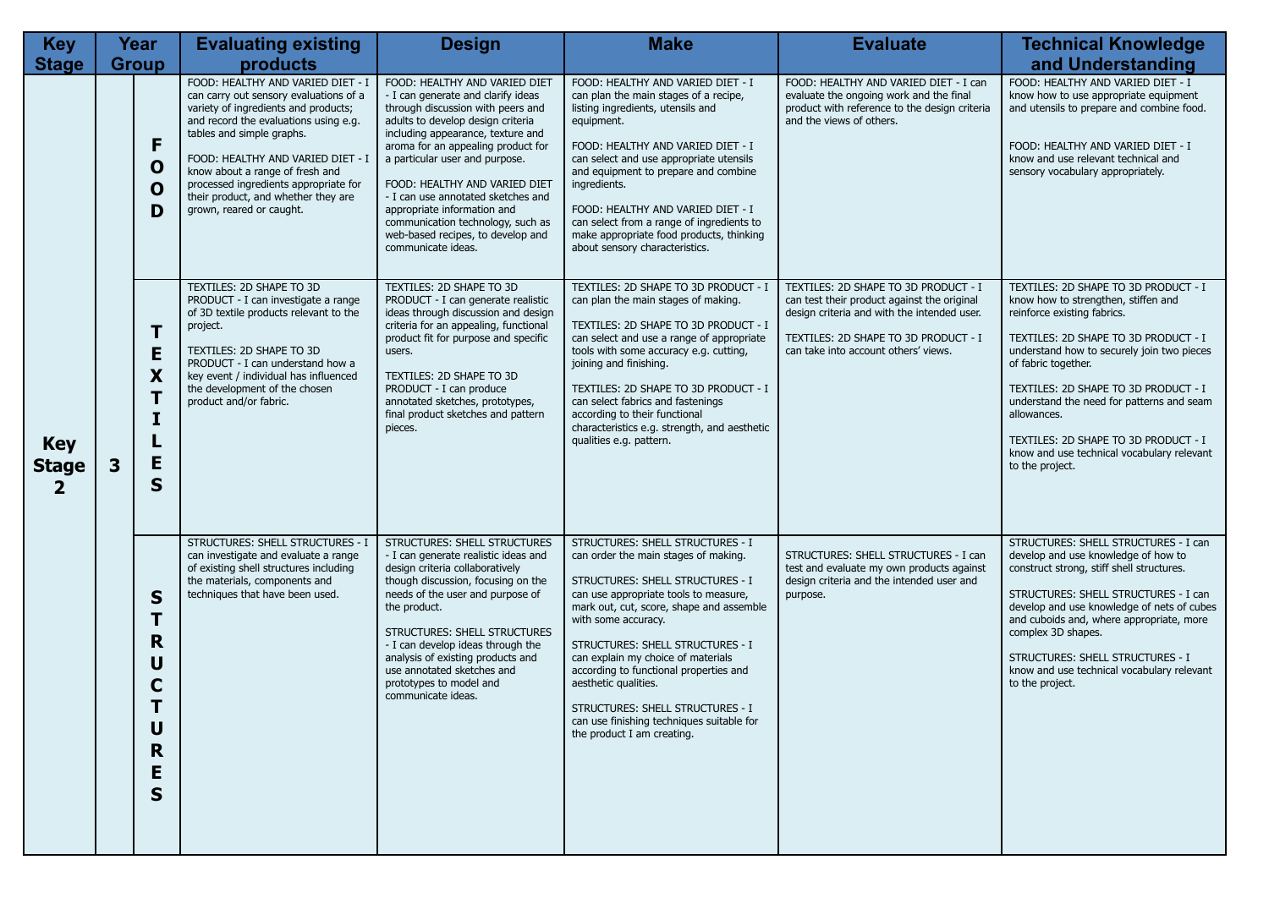| <b>Key</b>                      |   | Year                                       | <b>Evaluating existing</b>                                                                                                                                                                                                                                                                                                                                                    | <b>Design</b>                                                                                                                                                                                                                                                                                                                                                                                                                                                    | <b>Make</b>                                                                                                                                                                                                                                                                                                                                                                                                                                                                                | <b>Evaluate</b>                                                                                                                                                                                                    | <b>Technical Knowledge</b>                                                                                                                                                                                                                                                                                                                                                                                                           |
|---------------------------------|---|--------------------------------------------|-------------------------------------------------------------------------------------------------------------------------------------------------------------------------------------------------------------------------------------------------------------------------------------------------------------------------------------------------------------------------------|------------------------------------------------------------------------------------------------------------------------------------------------------------------------------------------------------------------------------------------------------------------------------------------------------------------------------------------------------------------------------------------------------------------------------------------------------------------|--------------------------------------------------------------------------------------------------------------------------------------------------------------------------------------------------------------------------------------------------------------------------------------------------------------------------------------------------------------------------------------------------------------------------------------------------------------------------------------------|--------------------------------------------------------------------------------------------------------------------------------------------------------------------------------------------------------------------|--------------------------------------------------------------------------------------------------------------------------------------------------------------------------------------------------------------------------------------------------------------------------------------------------------------------------------------------------------------------------------------------------------------------------------------|
| <b>Stage</b>                    |   | <b>Group</b>                               | products                                                                                                                                                                                                                                                                                                                                                                      |                                                                                                                                                                                                                                                                                                                                                                                                                                                                  |                                                                                                                                                                                                                                                                                                                                                                                                                                                                                            |                                                                                                                                                                                                                    | and Understanding                                                                                                                                                                                                                                                                                                                                                                                                                    |
|                                 |   | F<br>$\mathbf 0$<br>$\mathbf O$<br>D       | FOOD: HEALTHY AND VARIED DIET - I<br>can carry out sensory evaluations of a<br>variety of ingredients and products;<br>and record the evaluations using e.g.<br>tables and simple graphs.<br>FOOD: HEALTHY AND VARIED DIET - I<br>know about a range of fresh and<br>processed ingredients appropriate for<br>their product, and whether they are<br>grown, reared or caught. | FOOD: HEALTHY AND VARIED DIET<br>- I can generate and clarify ideas<br>through discussion with peers and<br>adults to develop design criteria<br>including appearance, texture and<br>aroma for an appealing product for<br>a particular user and purpose.<br>FOOD: HEALTHY AND VARIED DIET<br>- I can use annotated sketches and<br>appropriate information and<br>communication technology, such as<br>web-based recipes, to develop and<br>communicate ideas. | FOOD: HEALTHY AND VARIED DIET - I<br>can plan the main stages of a recipe,<br>listing ingredients, utensils and<br>equipment.<br>FOOD: HEALTHY AND VARIED DIET - I<br>can select and use appropriate utensils<br>and equipment to prepare and combine<br>ingredients.<br>FOOD: HEALTHY AND VARIED DIET - I<br>can select from a range of ingredients to<br>make appropriate food products, thinking<br>about sensory characteristics.                                                      | FOOD: HEALTHY AND VARIED DIET - I can<br>evaluate the ongoing work and the final<br>product with reference to the design criteria<br>and the views of others.                                                      | FOOD: HEALTHY AND VARIED DIET - I<br>know how to use appropriate equipment<br>and utensils to prepare and combine food.<br>FOOD: HEALTHY AND VARIED DIET - I<br>know and use relevant technical and<br>sensory vocabulary appropriately.                                                                                                                                                                                             |
| <b>Key</b><br><b>Stage</b><br>2 | 3 | Τ<br>E<br>X<br>T<br>I<br>E<br>S            | TEXTILES: 2D SHAPE TO 3D<br>PRODUCT - I can investigate a range<br>of 3D textile products relevant to the<br>project.<br>TEXTILES: 2D SHAPE TO 3D<br>PRODUCT - I can understand how a<br>key event / individual has influenced<br>the development of the chosen<br>product and/or fabric.                                                                                     | TEXTILES: 2D SHAPE TO 3D<br>PRODUCT - I can generate realistic<br>ideas through discussion and design<br>criteria for an appealing, functional<br>product fit for purpose and specific<br>users.<br>TEXTILES: 2D SHAPE TO 3D<br>PRODUCT - I can produce<br>annotated sketches, prototypes,<br>final product sketches and pattern<br>pieces.                                                                                                                      | TEXTILES: 2D SHAPE TO 3D PRODUCT - I<br>can plan the main stages of making.<br>TEXTILES: 2D SHAPE TO 3D PRODUCT - I<br>can select and use a range of appropriate<br>tools with some accuracy e.g. cutting,<br>joining and finishing.<br>TEXTILES: 2D SHAPE TO 3D PRODUCT - I<br>can select fabrics and fastenings<br>according to their functional<br>characteristics e.g. strength, and aesthetic<br>qualities e.g. pattern.                                                              | TEXTILES: 2D SHAPE TO 3D PRODUCT - I<br>can test their product against the original<br>design criteria and with the intended user.<br>TEXTILES: 2D SHAPE TO 3D PRODUCT - I<br>can take into account others' views. | TEXTILES: 2D SHAPE TO 3D PRODUCT - I<br>know how to strengthen, stiffen and<br>reinforce existing fabrics.<br>TEXTILES: 2D SHAPE TO 3D PRODUCT - I<br>understand how to securely join two pieces<br>of fabric together.<br>TEXTILES: 2D SHAPE TO 3D PRODUCT - I<br>understand the need for patterns and seam<br>allowances.<br>TEXTILES: 2D SHAPE TO 3D PRODUCT - I<br>know and use technical vocabulary relevant<br>to the project. |
|                                 |   | S<br>Τ<br>R<br>U<br>C<br>U<br>R.<br>E<br>S | <b>STRUCTURES: SHELL STRUCTURES - I</b><br>can investigate and evaluate a range<br>of existing shell structures including<br>the materials, components and<br>techniques that have been used.                                                                                                                                                                                 | <b>STRUCTURES: SHELL STRUCTURES</b><br>- I can generate realistic ideas and<br>design criteria collaboratively<br>though discussion, focusing on the<br>needs of the user and purpose of<br>the product.<br>STRUCTURES: SHELL STRUCTURES<br>- I can develop ideas through the<br>analysis of existing products and<br>use annotated sketches and<br>prototypes to model and<br>communicate ideas.                                                                | <b>STRUCTURES: SHELL STRUCTURES - I</b><br>can order the main stages of making.<br>STRUCTURES: SHELL STRUCTURES - I<br>can use appropriate tools to measure,<br>mark out, cut, score, shape and assemble<br>with some accuracy.<br>STRUCTURES: SHELL STRUCTURES - I<br>can explain my choice of materials<br>according to functional properties and<br>aesthetic qualities.<br>STRUCTURES: SHELL STRUCTURES - I<br>can use finishing techniques suitable for<br>the product I am creating. | STRUCTURES: SHELL STRUCTURES - I can<br>test and evaluate my own products against<br>design criteria and the intended user and<br>purpose.                                                                         | STRUCTURES: SHELL STRUCTURES - I can<br>develop and use knowledge of how to<br>construct strong, stiff shell structures.<br>STRUCTURES: SHELL STRUCTURES - I can<br>develop and use knowledge of nets of cubes<br>and cuboids and, where appropriate, more<br>complex 3D shapes.<br>STRUCTURES: SHELL STRUCTURES - I<br>know and use technical vocabulary relevant<br>to the project.                                                |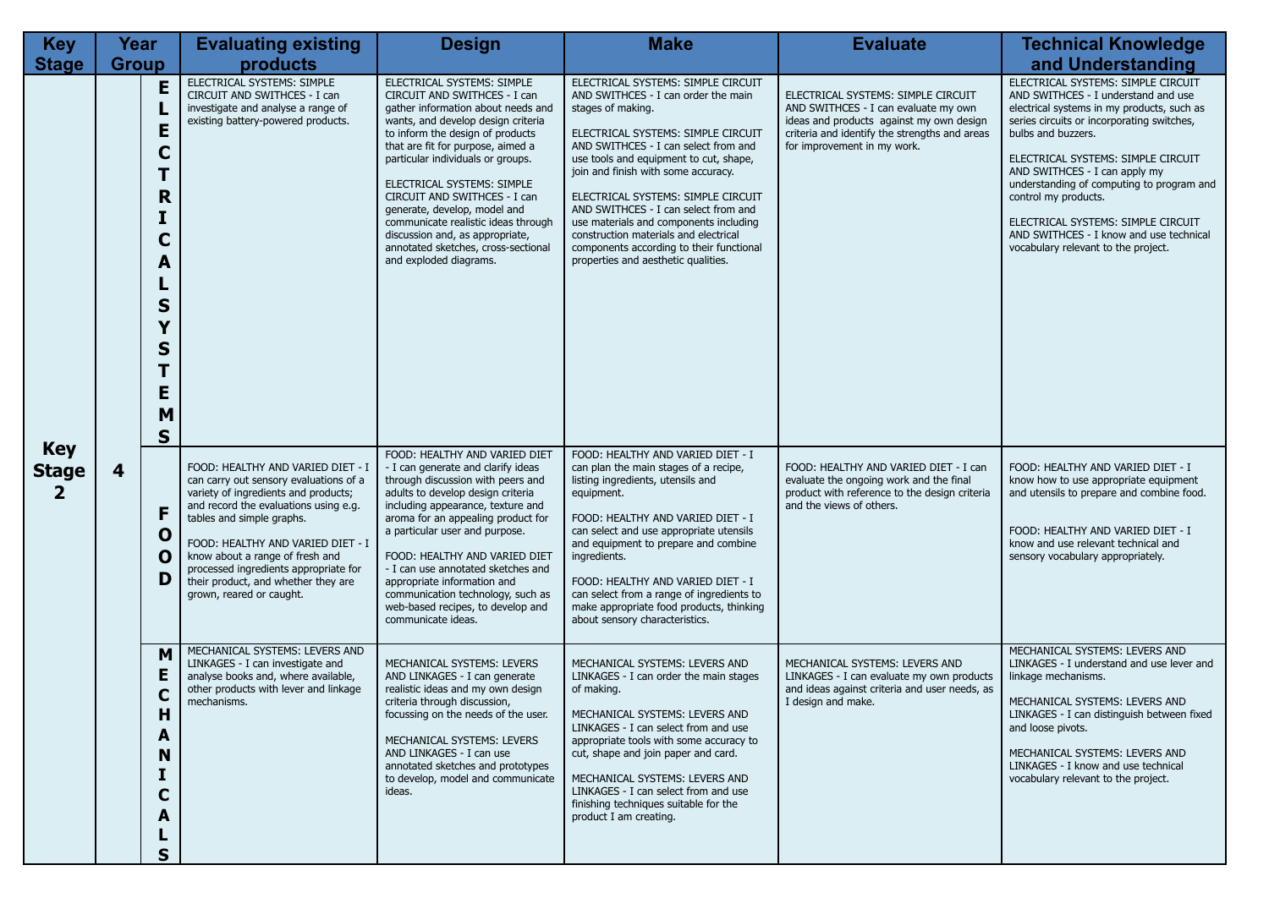| <b>Key</b>                   | Year                                                                                         | <b>Evaluating existing</b>                                                                                                                                                                                                                                                                                                                                                    | <b>Design</b>                                                                                                                                                                                                                                                                                                                                                                                                                                                                                 | <b>Make</b>                                                                                                                                                                                                                                                                                                                                                                                                                                                                                                       | <b>Evaluate</b>                                                                                                                                                                                        | <b>Technical Knowledge</b>                                                                                                                                                                                                                                                                                                                                                                                                                                      |
|------------------------------|----------------------------------------------------------------------------------------------|-------------------------------------------------------------------------------------------------------------------------------------------------------------------------------------------------------------------------------------------------------------------------------------------------------------------------------------------------------------------------------|-----------------------------------------------------------------------------------------------------------------------------------------------------------------------------------------------------------------------------------------------------------------------------------------------------------------------------------------------------------------------------------------------------------------------------------------------------------------------------------------------|-------------------------------------------------------------------------------------------------------------------------------------------------------------------------------------------------------------------------------------------------------------------------------------------------------------------------------------------------------------------------------------------------------------------------------------------------------------------------------------------------------------------|--------------------------------------------------------------------------------------------------------------------------------------------------------------------------------------------------------|-----------------------------------------------------------------------------------------------------------------------------------------------------------------------------------------------------------------------------------------------------------------------------------------------------------------------------------------------------------------------------------------------------------------------------------------------------------------|
| <b>Stage</b>                 | <b>Group</b>                                                                                 | products                                                                                                                                                                                                                                                                                                                                                                      |                                                                                                                                                                                                                                                                                                                                                                                                                                                                                               |                                                                                                                                                                                                                                                                                                                                                                                                                                                                                                                   |                                                                                                                                                                                                        | and Understanding                                                                                                                                                                                                                                                                                                                                                                                                                                               |
| <b>Key</b>                   | E<br>ц<br>E<br>$\mathbf C$<br>т<br>R<br>I<br>C<br>A<br>$\mathsf{s}$<br>Y<br>S<br>E<br>M<br>S | ELECTRICAL SYSTEMS: SIMPLE<br>CIRCUIT AND SWITHCES - I can<br>investigate and analyse a range of<br>existing battery-powered products.                                                                                                                                                                                                                                        | ELECTRICAL SYSTEMS: SIMPLE<br>CIRCUIT AND SWITHCES - I can<br>gather information about needs and<br>wants, and develop design criteria<br>to inform the design of products<br>that are fit for purpose, aimed a<br>particular individuals or groups.<br>ELECTRICAL SYSTEMS: SIMPLE<br>CIRCUIT AND SWITHCES - I can<br>generate, develop, model and<br>communicate realistic ideas through<br>discussion and, as appropriate,<br>annotated sketches, cross-sectional<br>and exploded diagrams. | ELECTRICAL SYSTEMS: SIMPLE CIRCUIT<br>AND SWITHCES - I can order the main<br>stages of making.<br>ELECTRICAL SYSTEMS: SIMPLE CIRCUIT<br>AND SWITHCES - I can select from and<br>use tools and equipment to cut, shape,<br>join and finish with some accuracy.<br>ELECTRICAL SYSTEMS: SIMPLE CIRCUIT<br>AND SWITHCES - I can select from and<br>use materials and components including<br>construction materials and electrical<br>components according to their functional<br>properties and aesthetic qualities. | ELECTRICAL SYSTEMS: SIMPLE CIRCUIT<br>AND SWITHCES - I can evaluate my own<br>ideas and products against my own design<br>criteria and identify the strengths and areas<br>for improvement in my work. | ELECTRICAL SYSTEMS: SIMPLE CIRCUIT<br>AND SWITHCES - I understand and use<br>electrical systems in my products, such as<br>series circuits or incorporating switches,<br>bulbs and buzzers.<br>ELECTRICAL SYSTEMS: SIMPLE CIRCUIT<br>AND SWITHCES - I can apply my<br>understanding of computing to program and<br>control my products.<br>ELECTRICAL SYSTEMS: SIMPLE CIRCUIT<br>AND SWITHCES - I know and use technical<br>vocabulary relevant to the project. |
| <b>Stage</b><br>$\mathbf{2}$ | 4<br>F<br>$\mathbf 0$<br>O<br>D                                                              | FOOD: HEALTHY AND VARIED DIET - I<br>can carry out sensory evaluations of a<br>variety of ingredients and products;<br>and record the evaluations using e.g.<br>tables and simple graphs.<br>FOOD: HEALTHY AND VARIED DIET - I<br>know about a range of fresh and<br>processed ingredients appropriate for<br>their product, and whether they are<br>grown, reared or caught. | FOOD: HEALTHY AND VARIED DIET<br>- I can generate and clarify ideas<br>through discussion with peers and<br>adults to develop design criteria<br>including appearance, texture and<br>aroma for an appealing product for<br>a particular user and purpose.<br>FOOD: HEALTHY AND VARIED DIET<br>- I can use annotated sketches and<br>appropriate information and<br>communication technology, such as<br>web-based recipes, to develop and<br>communicate ideas.                              | FOOD: HEALTHY AND VARIED DIET - I<br>can plan the main stages of a recipe,<br>listing ingredients, utensils and<br>equipment.<br>FOOD: HEALTHY AND VARIED DIET - I<br>can select and use appropriate utensils<br>and equipment to prepare and combine<br>ingredients.<br>FOOD: HEALTHY AND VARIED DIET - I<br>can select from a range of ingredients to<br>make appropriate food products, thinking<br>about sensory characteristics.                                                                             | FOOD: HEALTHY AND VARIED DIET - I can<br>evaluate the ongoing work and the final<br>product with reference to the design criteria<br>and the views of others.                                          | FOOD: HEALTHY AND VARIED DIET - I<br>know how to use appropriate equipment<br>and utensils to prepare and combine food.<br>FOOD: HEALTHY AND VARIED DIET - I<br>know and use relevant technical and<br>sensory vocabulary appropriately.                                                                                                                                                                                                                        |
|                              | M<br>E<br>$\mathbf C$<br>н<br>A<br>N<br>$\mathbf C$<br>A<br>$\mathbf S$                      | MECHANICAL SYSTEMS: LEVERS AND<br>LINKAGES - I can investigate and<br>analyse books and, where available,<br>other products with lever and linkage<br>mechanisms.                                                                                                                                                                                                             | MECHANICAL SYSTEMS: LEVERS<br>AND LINKAGES - I can generate<br>realistic ideas and my own design<br>criteria through discussion,<br>focussing on the needs of the user.<br>MECHANICAL SYSTEMS: LEVERS<br>AND LINKAGES - I can use<br>annotated sketches and prototypes<br>to develop, model and communicate<br>ideas.                                                                                                                                                                         | MECHANICAL SYSTEMS: LEVERS AND<br>LINKAGES - I can order the main stages<br>of making.<br>MECHANICAL SYSTEMS: LEVERS AND<br>LINKAGES - I can select from and use<br>appropriate tools with some accuracy to<br>cut, shape and join paper and card.<br>MECHANICAL SYSTEMS: LEVERS AND<br>LINKAGES - I can select from and use<br>finishing techniques suitable for the<br>product I am creating.                                                                                                                   | MECHANICAL SYSTEMS: LEVERS AND<br>LINKAGES - I can evaluate my own products<br>and ideas against criteria and user needs, as<br>I design and make.                                                     | MECHANICAL SYSTEMS: LEVERS AND<br>LINKAGES - I understand and use lever and<br>linkage mechanisms.<br>MECHANICAL SYSTEMS: LEVERS AND<br>LINKAGES - I can distinguish between fixed<br>and loose pivots.<br>MECHANICAL SYSTEMS: LEVERS AND<br>LINKAGES - I know and use technical<br>vocabulary relevant to the project.                                                                                                                                         |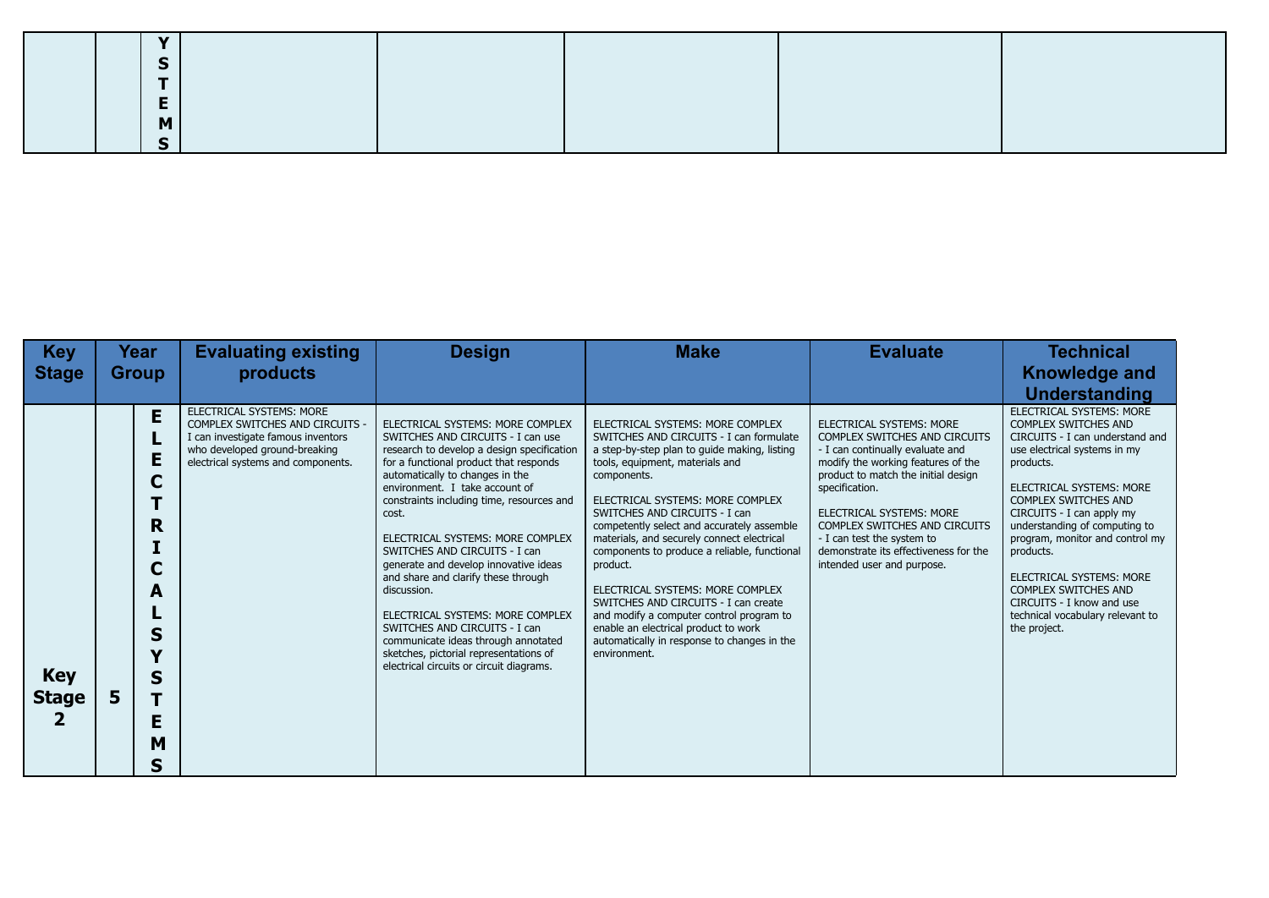| $\mathbf{v}$ |  |  |
|--------------|--|--|
|              |  |  |
|              |  |  |
|              |  |  |
| M            |  |  |
|              |  |  |

| <b>Key</b>                 |              | Year                                                     | <b>Evaluating existing</b>                                                                                                                                               | <b>Design</b>                                                                                                                                                                                                                                                                                                                                                                                                                                                                                                                                                                                                                                                  | <b>Make</b>                                                                                                                                                                                                                                                                                                                                                                                                                                                                                                                                                                                                                               | <b>Evaluate</b>                                                                                                                                                                                                                                                                                                                                                       | <b>Technical</b>                                                                                                                                                                                                                                                                                                                                                                                                                                             |
|----------------------------|--------------|----------------------------------------------------------|--------------------------------------------------------------------------------------------------------------------------------------------------------------------------|----------------------------------------------------------------------------------------------------------------------------------------------------------------------------------------------------------------------------------------------------------------------------------------------------------------------------------------------------------------------------------------------------------------------------------------------------------------------------------------------------------------------------------------------------------------------------------------------------------------------------------------------------------------|-------------------------------------------------------------------------------------------------------------------------------------------------------------------------------------------------------------------------------------------------------------------------------------------------------------------------------------------------------------------------------------------------------------------------------------------------------------------------------------------------------------------------------------------------------------------------------------------------------------------------------------------|-----------------------------------------------------------------------------------------------------------------------------------------------------------------------------------------------------------------------------------------------------------------------------------------------------------------------------------------------------------------------|--------------------------------------------------------------------------------------------------------------------------------------------------------------------------------------------------------------------------------------------------------------------------------------------------------------------------------------------------------------------------------------------------------------------------------------------------------------|
| <b>Stage</b>               | <b>Group</b> |                                                          | products                                                                                                                                                                 |                                                                                                                                                                                                                                                                                                                                                                                                                                                                                                                                                                                                                                                                |                                                                                                                                                                                                                                                                                                                                                                                                                                                                                                                                                                                                                                           |                                                                                                                                                                                                                                                                                                                                                                       | <b>Knowledge and</b>                                                                                                                                                                                                                                                                                                                                                                                                                                         |
|                            |              |                                                          |                                                                                                                                                                          |                                                                                                                                                                                                                                                                                                                                                                                                                                                                                                                                                                                                                                                                |                                                                                                                                                                                                                                                                                                                                                                                                                                                                                                                                                                                                                                           |                                                                                                                                                                                                                                                                                                                                                                       | <b>Understanding</b>                                                                                                                                                                                                                                                                                                                                                                                                                                         |
| <b>Key</b><br><b>Stage</b> | 5            | E<br>L<br>E<br>C<br>R<br>C<br>А<br>S<br>S<br>E<br>M<br>S | ELECTRICAL SYSTEMS: MORE<br>COMPLEX SWITCHES AND CIRCUITS -<br>I can investigate famous inventors<br>who developed ground-breaking<br>electrical systems and components. | ELECTRICAL SYSTEMS: MORE COMPLEX<br>SWITCHES AND CIRCUITS - I can use<br>research to develop a design specification<br>for a functional product that responds<br>automatically to changes in the<br>environment. I take account of<br>constraints including time, resources and<br>cost.<br>ELECTRICAL SYSTEMS: MORE COMPLEX<br>SWITCHES AND CIRCUITS - I can<br>generate and develop innovative ideas<br>and share and clarify these through<br>discussion.<br>ELECTRICAL SYSTEMS: MORE COMPLEX<br>SWITCHES AND CIRCUITS - I can<br>communicate ideas through annotated<br>sketches, pictorial representations of<br>electrical circuits or circuit diagrams. | ELECTRICAL SYSTEMS: MORE COMPLEX<br>SWITCHES AND CIRCUITS - I can formulate<br>a step-by-step plan to guide making, listing<br>tools, equipment, materials and<br>components.<br>ELECTRICAL SYSTEMS: MORE COMPLEX<br>SWITCHES AND CIRCUITS - I can<br>competently select and accurately assemble<br>materials, and securely connect electrical<br>components to produce a reliable, functional<br>product.<br>ELECTRICAL SYSTEMS: MORE COMPLEX<br>SWITCHES AND CIRCUITS - I can create<br>and modify a computer control program to<br>enable an electrical product to work<br>automatically in response to changes in the<br>environment. | ELECTRICAL SYSTEMS: MORE<br>COMPLEX SWITCHES AND CIRCUITS<br>- I can continually evaluate and<br>modify the working features of the<br>product to match the initial design<br>specification.<br>ELECTRICAL SYSTEMS: MORE<br><b>COMPLEX SWITCHES AND CIRCUITS</b><br>- I can test the system to<br>demonstrate its effectiveness for the<br>intended user and purpose. | ELECTRICAL SYSTEMS: MORE<br><b>COMPLEX SWITCHES AND</b><br>CIRCUITS - I can understand and<br>use electrical systems in my<br>products.<br>ELECTRICAL SYSTEMS: MORE<br><b>COMPLEX SWITCHES AND</b><br>CIRCUITS - I can apply my<br>understanding of computing to<br>program, monitor and control my<br>products.<br>ELECTRICAL SYSTEMS: MORE<br><b>COMPLEX SWITCHES AND</b><br>CIRCUITS - I know and use<br>technical vocabulary relevant to<br>the project. |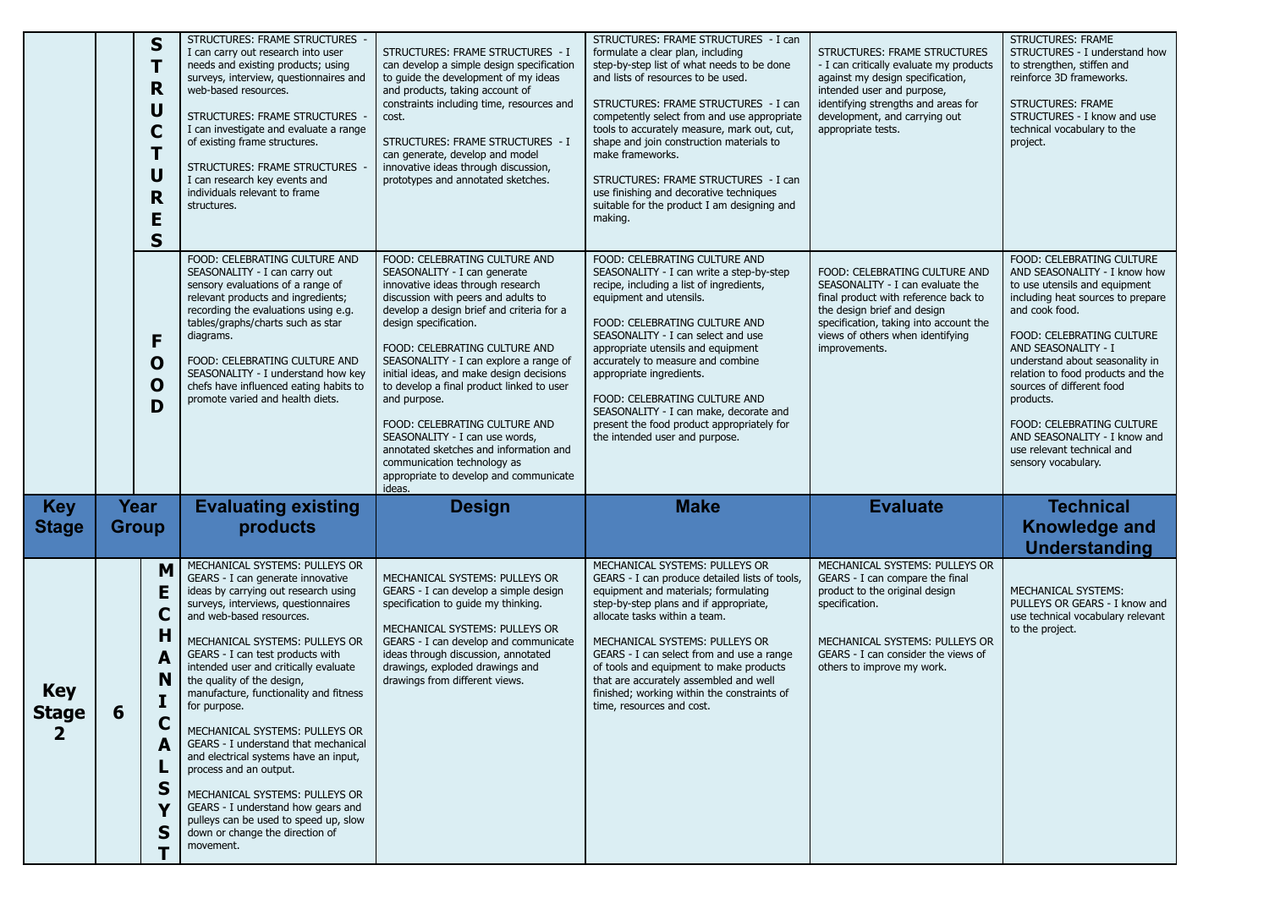|                                       |                      | S<br>R<br>U<br>С<br>U<br>R<br>E<br>S      | STRUCTURES: FRAME STRUCTURES -<br>I can carry out research into user<br>needs and existing products; using<br>surveys, interview, questionnaires and<br>web-based resources.<br>STRUCTURES: FRAME STRUCTURES -<br>I can investigate and evaluate a range<br>of existing frame structures.<br>STRUCTURES: FRAME STRUCTURES<br>I can research key events and<br>individuals relevant to frame<br>structures.                                                                                                                                                                                                                                                                                          | STRUCTURES: FRAME STRUCTURES - I<br>can develop a simple design specification<br>to quide the development of my ideas<br>and products, taking account of<br>constraints including time, resources and<br>cost.<br>STRUCTURES: FRAME STRUCTURES - I<br>can generate, develop and model<br>innovative ideas through discussion,<br>prototypes and annotated sketches.                                                                                                                                                                                                                                 | STRUCTURES: FRAME STRUCTURES - I can<br>formulate a clear plan, including<br>step-by-step list of what needs to be done<br>and lists of resources to be used.<br>STRUCTURES: FRAME STRUCTURES - I can<br>competently select from and use appropriate<br>tools to accurately measure, mark out, cut,<br>shape and join construction materials to<br>make frameworks.<br>STRUCTURES: FRAME STRUCTURES - I can<br>use finishing and decorative techniques<br>suitable for the product I am designing and<br>making. | STRUCTURES: FRAME STRUCTURES<br>- I can critically evaluate my products<br>against my design specification,<br>intended user and purpose,<br>identifying strengths and areas for<br>development, and carrying out<br>appropriate tests. | <b>STRUCTURES: FRAME</b><br>STRUCTURES - I understand how<br>to strengthen, stiffen and<br>reinforce 3D frameworks.<br><b>STRUCTURES: FRAME</b><br>STRUCTURES - I know and use<br>technical vocabulary to the<br>project.                                                                                                                                                                                                                               |
|---------------------------------------|----------------------|-------------------------------------------|-----------------------------------------------------------------------------------------------------------------------------------------------------------------------------------------------------------------------------------------------------------------------------------------------------------------------------------------------------------------------------------------------------------------------------------------------------------------------------------------------------------------------------------------------------------------------------------------------------------------------------------------------------------------------------------------------------|-----------------------------------------------------------------------------------------------------------------------------------------------------------------------------------------------------------------------------------------------------------------------------------------------------------------------------------------------------------------------------------------------------------------------------------------------------------------------------------------------------------------------------------------------------------------------------------------------------|------------------------------------------------------------------------------------------------------------------------------------------------------------------------------------------------------------------------------------------------------------------------------------------------------------------------------------------------------------------------------------------------------------------------------------------------------------------------------------------------------------------|-----------------------------------------------------------------------------------------------------------------------------------------------------------------------------------------------------------------------------------------|---------------------------------------------------------------------------------------------------------------------------------------------------------------------------------------------------------------------------------------------------------------------------------------------------------------------------------------------------------------------------------------------------------------------------------------------------------|
|                                       |                      | F<br>$\mathbf 0$<br>0<br>D                | FOOD: CELEBRATING CULTURE AND<br>SEASONALITY - I can carry out<br>sensory evaluations of a range of<br>relevant products and ingredients;<br>recording the evaluations using e.g.<br>tables/graphs/charts such as star<br>diagrams.<br>FOOD: CELEBRATING CULTURE AND<br>SEASONALITY - I understand how key<br>chefs have influenced eating habits to<br>promote varied and health diets.                                                                                                                                                                                                                                                                                                            | FOOD: CELEBRATING CULTURE AND<br>SEASONALITY - I can generate<br>innovative ideas through research<br>discussion with peers and adults to<br>develop a design brief and criteria for a<br>design specification.<br>FOOD: CELEBRATING CULTURE AND<br>SEASONALITY - I can explore a range of<br>initial ideas, and make design decisions<br>to develop a final product linked to user<br>and purpose.<br>FOOD: CELEBRATING CULTURE AND<br>SEASONALITY - I can use words,<br>annotated sketches and information and<br>communication technology as<br>appropriate to develop and communicate<br>ideas. | FOOD: CELEBRATING CULTURE AND<br>SEASONALITY - I can write a step-by-step<br>recipe, including a list of ingredients,<br>equipment and utensils.<br>FOOD: CELEBRATING CULTURE AND<br>SEASONALITY - I can select and use<br>appropriate utensils and equipment<br>accurately to measure and combine<br>appropriate ingredients.<br>FOOD: CELEBRATING CULTURE AND<br>SEASONALITY - I can make, decorate and<br>present the food product appropriately for<br>the intended user and purpose.                        | FOOD: CELEBRATING CULTURE AND<br>SEASONALITY - I can evaluate the<br>final product with reference back to<br>the design brief and design<br>specification, taking into account the<br>views of others when identifying<br>improvements. | FOOD: CELEBRATING CULTURE<br>AND SEASONALITY - I know how<br>to use utensils and equipment<br>including heat sources to prepare<br>and cook food.<br><b>FOOD: CELEBRATING CULTURE</b><br>AND SEASONALITY - I<br>understand about seasonality in<br>relation to food products and the<br>sources of different food<br>products.<br><b>FOOD: CELEBRATING CULTURE</b><br>AND SEASONALITY - I know and<br>use relevant technical and<br>sensory vocabulary. |
| <b>Key</b><br><b>Stage</b>            | Year<br><b>Group</b> |                                           | <b>Evaluating existing</b><br>products                                                                                                                                                                                                                                                                                                                                                                                                                                                                                                                                                                                                                                                              | <b>Design</b>                                                                                                                                                                                                                                                                                                                                                                                                                                                                                                                                                                                       | <b>Make</b>                                                                                                                                                                                                                                                                                                                                                                                                                                                                                                      | <b>Evaluate</b>                                                                                                                                                                                                                         | <b>Technical</b><br><b>Knowledge and</b><br><b>Understanding</b>                                                                                                                                                                                                                                                                                                                                                                                        |
| <b>Key</b><br>Stage<br>$\overline{2}$ | 6                    | M<br>E<br>C<br>H<br>A<br>N<br>C<br>S<br>S | MECHANICAL SYSTEMS: PULLEYS OR<br>GEARS - I can generate innovative<br>ideas by carrying out research using<br>surveys, interviews, questionnaires<br>and web-based resources.<br>MECHANICAL SYSTEMS: PULLEYS OR<br>GEARS - I can test products with<br>intended user and critically evaluate<br>the quality of the design,<br>manufacture, functionality and fitness<br>for purpose.<br>MECHANICAL SYSTEMS: PULLEYS OR<br>GEARS - I understand that mechanical<br>and electrical systems have an input,<br>process and an output.<br>MECHANICAL SYSTEMS: PULLEYS OR<br>GEARS - I understand how gears and<br>pulleys can be used to speed up, slow<br>down or change the direction of<br>movement. | MECHANICAL SYSTEMS: PULLEYS OR<br>GEARS - I can develop a simple design<br>specification to guide my thinking.<br>MECHANICAL SYSTEMS: PULLEYS OR<br>GEARS - I can develop and communicate<br>ideas through discussion, annotated<br>drawings, exploded drawings and<br>drawings from different views.                                                                                                                                                                                                                                                                                               | MECHANICAL SYSTEMS: PULLEYS OR<br>GEARS - I can produce detailed lists of tools,<br>equipment and materials; formulating<br>step-by-step plans and if appropriate,<br>allocate tasks within a team.<br>MECHANICAL SYSTEMS: PULLEYS OR<br>GEARS - I can select from and use a range<br>of tools and equipment to make products<br>that are accurately assembled and well<br>finished; working within the constraints of<br>time, resources and cost.                                                              | MECHANICAL SYSTEMS: PULLEYS OR<br>GEARS - I can compare the final<br>product to the original design<br>specification.<br>MECHANICAL SYSTEMS: PULLEYS OR<br>GEARS - I can consider the views of<br>others to improve my work.            | MECHANICAL SYSTEMS:<br>PULLEYS OR GEARS - I know and<br>use technical vocabulary relevant<br>to the project.                                                                                                                                                                                                                                                                                                                                            |